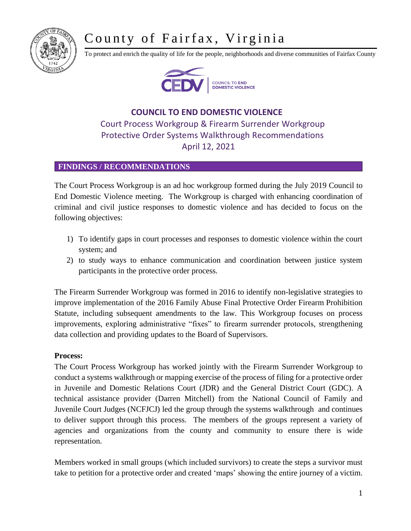# County of Fairfax, Virginia



To protect and enrich the quality of life for the people, neighborhoods and diverse communities of Fairfax County



## **COUNCIL TO END DOMESTIC VIOLENCE** Court Process Workgroup & Firearm Surrender Workgroup Protective Order Systems Walkthrough Recommendations April 12, 2021

### **FINDINGS / RECOMMENDATIONS**

The Court Process Workgroup is an ad hoc workgroup formed during the July 2019 Council to End Domestic Violence meeting. The Workgroup is charged with enhancing coordination of criminal and civil justice responses to domestic violence and has decided to focus on the following objectives:

- 1) To identify gaps in court processes and responses to domestic violence within the court system; and
- 2) to study ways to enhance communication and coordination between justice system participants in the protective order process.

The Firearm Surrender Workgroup was formed in 2016 to identify non-legislative strategies to improve implementation of the 2016 Family Abuse Final Protective Order Firearm Prohibition Statute, including subsequent amendments to the law. This Workgroup focuses on process improvements, exploring administrative "fixes" to firearm surrender protocols, strengthening data collection and providing updates to the Board of Supervisors.

### **Process:**

The Court Process Workgroup has worked jointly with the Firearm Surrender Workgroup to conduct a systems walkthrough or mapping exercise of the process of filing for a protective order in Juvenile and Domestic Relations Court (JDR) and the General District Court (GDC). A technical assistance provider (Darren Mitchell) from the National Council of Family and Juvenile Court Judges (NCFJCJ) led the group through the systems walkthrough and continues to deliver support through this process. The members of the groups represent a variety of agencies and organizations from the county and community to ensure there is wide representation.

Members worked in small groups (which included survivors) to create the steps a survivor must take to petition for a protective order and created 'maps' showing the entire journey of a victim.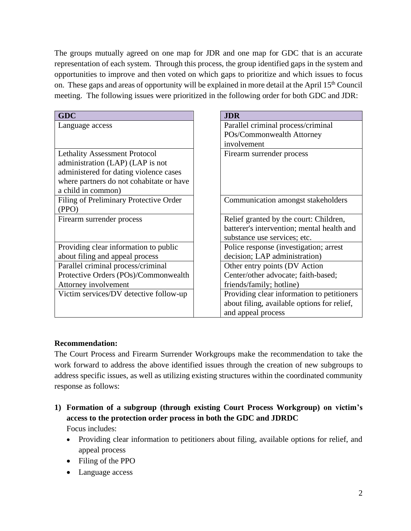The groups mutually agreed on one map for JDR and one map for GDC that is an accurate representation of each system. Through this process, the group identified gaps in the system and opportunities to improve and then voted on which gaps to prioritize and which issues to focus on. These gaps and areas of opportunity will be explained in more detail at the April 15<sup>th</sup> Council meeting. The following issues were prioritized in the following order for both GDC and JDR:

| <b>GDC</b>                               | <b>JDR</b>                                  |
|------------------------------------------|---------------------------------------------|
| Language access                          | Parallel criminal process/criminal          |
|                                          | POs/Commonwealth Attorney                   |
|                                          | involvement                                 |
| <b>Lethality Assessment Protocol</b>     | Firearm surrender process                   |
| administration (LAP) (LAP is not         |                                             |
| administered for dating violence cases   |                                             |
| where partners do not cohabitate or have |                                             |
| a child in common)                       |                                             |
| Filing of Preliminary Protective Order   | Communication amongst stakeholders          |
| (PPO)                                    |                                             |
| Firearm surrender process                | Relief granted by the court: Children,      |
|                                          | batterer's intervention; mental health and  |
|                                          | substance use services; etc.                |
| Providing clear information to public    | Police response (investigation; arrest      |
| about filing and appeal process          | decision; LAP administration)               |
| Parallel criminal process/criminal       | Other entry points (DV Action               |
| Protective Orders (POs)/Commonwealth     | Center/other advocate; faith-based;         |
| Attorney involvement                     | friends/family; hotline)                    |
| Victim services/DV detective follow-up   | Providing clear information to petitioners  |
|                                          | about filing, available options for relief, |
|                                          | and appeal process                          |

### **Recommendation:**

The Court Process and Firearm Surrender Workgroups make the recommendation to take the work forward to address the above identified issues through the creation of new subgroups to address specific issues, as well as utilizing existing structures within the coordinated community response as follows:

- **1) Formation of a subgroup (through existing Court Process Workgroup) on victim's access to the protection order process in both the GDC and JDRDC** Focus includes:
	- Providing clear information to petitioners about filing, available options for relief, and appeal process
	- Filing of the PPO
	- Language access